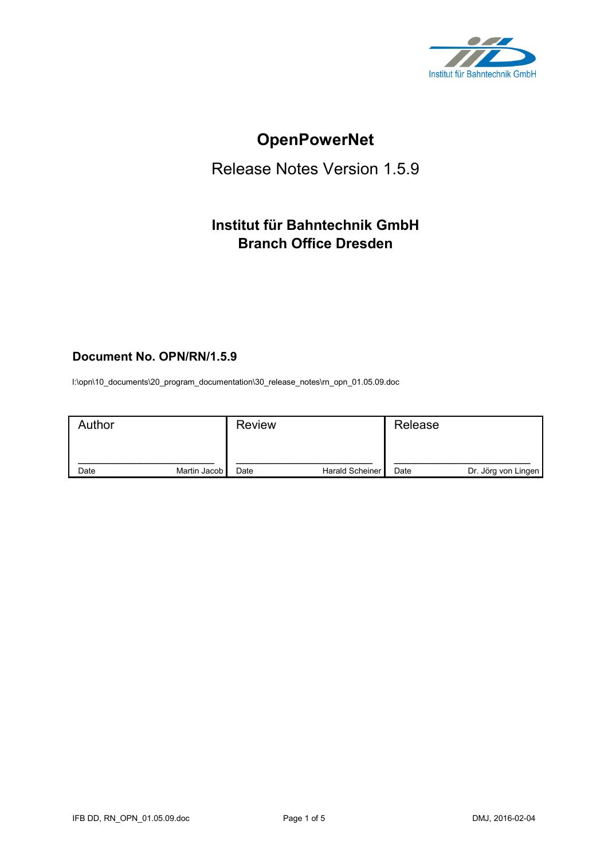

# **OpenPowerNet**

# Release Notes Version 1.5.9

# **Institut für Bahntechnik GmbH Branch Office Dresden**

# **Document No. OPN/RN/1.5.9**

l:\opn\10\_documents\20\_program\_documentation\30\_release\_notes\rn\_opn\_01.05.09.doc

| Author |              | <b>Review</b> |                 | Release |                     |
|--------|--------------|---------------|-----------------|---------|---------------------|
| Date   | Martin Jacob | Date          | Harald Scheiner | Date    | Dr. Jörg von Lingen |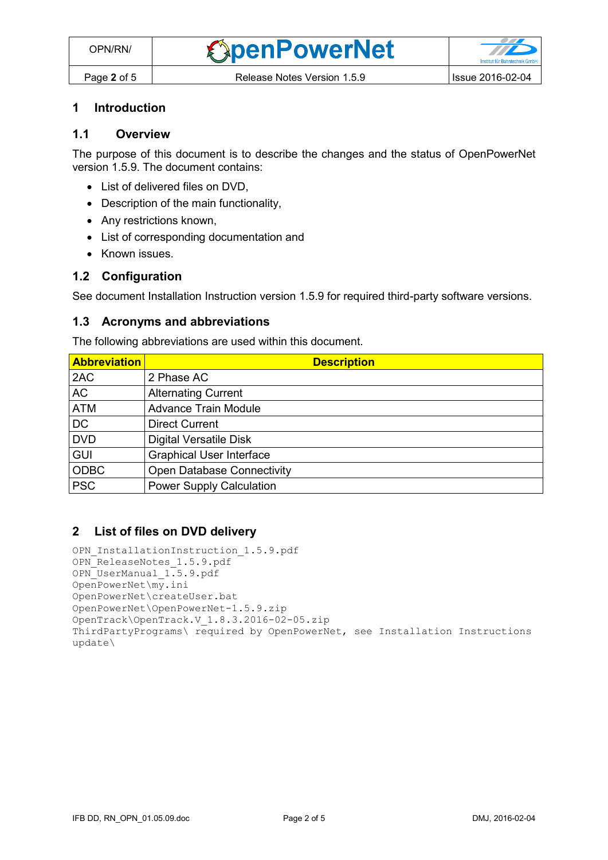#### **1 Introduction**

# **1.1 Overview**

The purpose of this document is to describe the changes and the status of OpenPowerNet version 1.5.9. The document contains:

- List of delivered files on DVD.
- Description of the main functionality,
- Any restrictions known,
- List of corresponding documentation and
- Known issues.

#### **1.2 Configuration**

See document Installation Instruction version 1.5.9 for required third-party software versions.

#### **1.3 Acronyms and abbreviations**

The following abbreviations are used within this document.

| <b>Abbreviation</b> | <b>Description</b>                |
|---------------------|-----------------------------------|
| 2AC                 | 2 Phase AC                        |
| <b>AC</b>           | <b>Alternating Current</b>        |
| <b>ATM</b>          | <b>Advance Train Module</b>       |
| D <sub>C</sub>      | <b>Direct Current</b>             |
| <b>DVD</b>          | <b>Digital Versatile Disk</b>     |
| <b>GUI</b>          | <b>Graphical User Interface</b>   |
| <b>ODBC</b>         | <b>Open Database Connectivity</b> |
| <b>PSC</b>          | <b>Power Supply Calculation</b>   |

#### **2 List of files on DVD delivery**

```
OPN InstallationInstruction 1.5.9.pdf
OPN_ReleaseNotes_1.5.9.pdf
OPN_UserManual_1.5.9.pdf
OpenPowerNet\my.ini
OpenPowerNet\createUser.bat
OpenPowerNet\OpenPowerNet-1.5.9.zip
OpenTrack\OpenTrack.V_1.8.3.2016-02-05.zip
ThirdPartyPrograms\ required by OpenPowerNet, see Installation Instructions
update\
```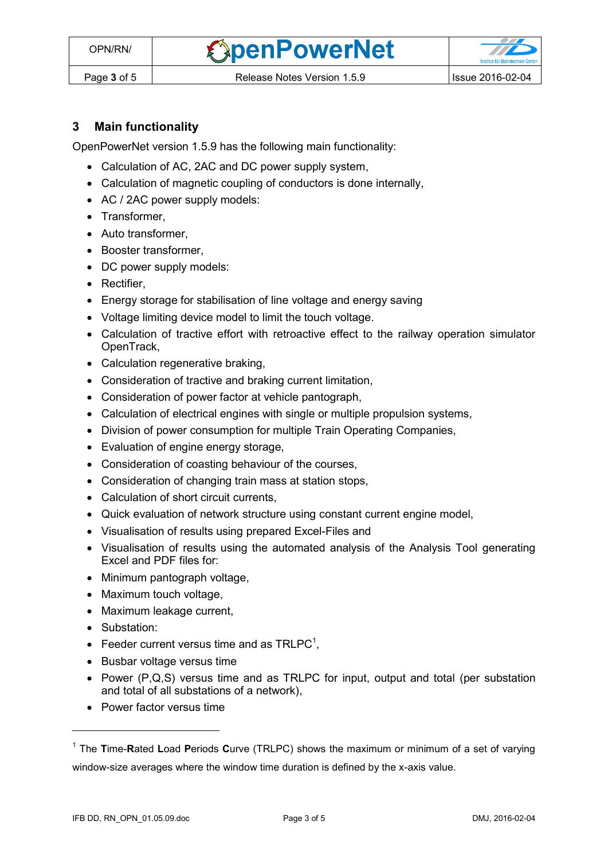**OpenPowerNet** 

# **3 Main functionality**

OpenPowerNet version 1.5.9 has the following main functionality:

- Calculation of AC, 2AC and DC power supply system,
- Calculation of magnetic coupling of conductors is done internally,
- AC / 2AC power supply models:
- Transformer,
- Auto transformer.
- Booster transformer,
- DC power supply models:
- Rectifier,
- Energy storage for stabilisation of line voltage and energy saving
- Voltage limiting device model to limit the touch voltage.
- Calculation of tractive effort with retroactive effect to the railway operation simulator OpenTrack,
- Calculation regenerative braking,
- Consideration of tractive and braking current limitation,
- Consideration of power factor at vehicle pantograph,
- Calculation of electrical engines with single or multiple propulsion systems,
- Division of power consumption for multiple Train Operating Companies,
- Evaluation of engine energy storage,
- Consideration of coasting behaviour of the courses,
- Consideration of changing train mass at station stops,
- Calculation of short circuit currents,
- Quick evaluation of network structure using constant current engine model,
- Visualisation of results using prepared Excel-Files and
- Visualisation of results using the automated analysis of the Analysis Tool generating Excel and PDF files for:
- Minimum pantograph voltage,
- Maximum touch voltage,
- Maximum leakage current,
- Substation:

 $\overline{a}$ 

- <span id="page-2-0"></span>• Feeder current versus time and as  $TRLPC<sup>1</sup>$ ,
- Busbar voltage versus time
- Power  $(P,Q,S)$  versus time and as TRLPC for input, output and total (per substation and total of all substations of a network),
- Power factor versus time

<sup>1</sup> The **T**ime-**R**ated **L**oad **P**eriods **C**urve (TRLPC) shows the maximum or minimum of a set of varying window-size averages where the window time duration is defined by the x-axis value.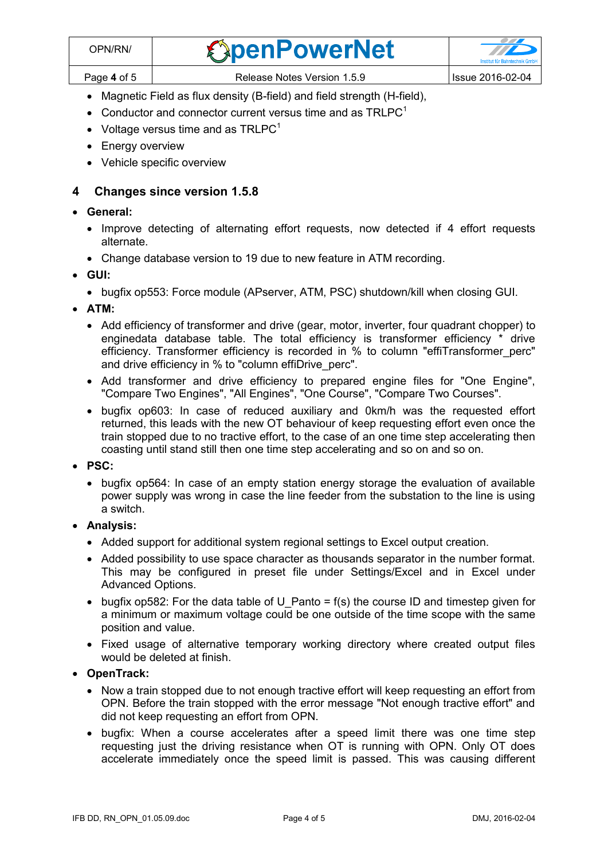- Magnetic Field as flux density (B-field) and field strength (H-field),
- [C](#page-2-0)onductor and connector current versus time and as  $TRLPC<sup>1</sup>$
- Voltage versus time and as  $TRLPC<sup>1</sup>$  $TRLPC<sup>1</sup>$  $TRLPC<sup>1</sup>$
- Energy overview
- Vehicle specific overview

### **4 Changes since version 1.5.8**

#### **General:**

- Improve detecting of alternating effort requests, now detected if 4 effort requests alternate.
- Change database version to 19 due to new feature in ATM recording.
- **GUI:**
	- bugfix op553: Force module (APserver, ATM, PSC) shutdown/kill when closing GUI.
- **ATM:**
	- Add efficiency of transformer and drive (gear, motor, inverter, four quadrant chopper) to enginedata database table. The total efficiency is transformer efficiency \* drive efficiency. Transformer efficiency is recorded in % to column "effiTransformer\_perc" and drive efficiency in % to "column effiDrive\_perc".
	- Add transformer and drive efficiency to prepared engine files for "One Engine", "Compare Two Engines", "All Engines", "One Course", "Compare Two Courses".
	- bugfix op603: In case of reduced auxiliary and 0km/h was the requested effort returned, this leads with the new OT behaviour of keep requesting effort even once the train stopped due to no tractive effort, to the case of an one time step accelerating then coasting until stand still then one time step accelerating and so on and so on.
- **PSC:** 
	- bugfix op564: In case of an empty station energy storage the evaluation of available power supply was wrong in case the line feeder from the substation to the line is using a switch.
- **Analysis:**
	- Added support for additional system regional settings to Excel output creation.
	- Added possibility to use space character as thousands separator in the number format. This may be configured in preset file under Settings/Excel and in Excel under Advanced Options.
	- bugfix op582: For the data table of U Panto = f(s) the course ID and timestep given for a minimum or maximum voltage could be one outside of the time scope with the same position and value.
	- Fixed usage of alternative temporary working directory where created output files would be deleted at finish.
- **OpenTrack:**
	- Now a train stopped due to not enough tractive effort will keep requesting an effort from OPN. Before the train stopped with the error message "Not enough tractive effort" and did not keep requesting an effort from OPN.
	- bugfix: When a course accelerates after a speed limit there was one time step requesting just the driving resistance when OT is running with OPN. Only OT does accelerate immediately once the speed limit is passed. This was causing different